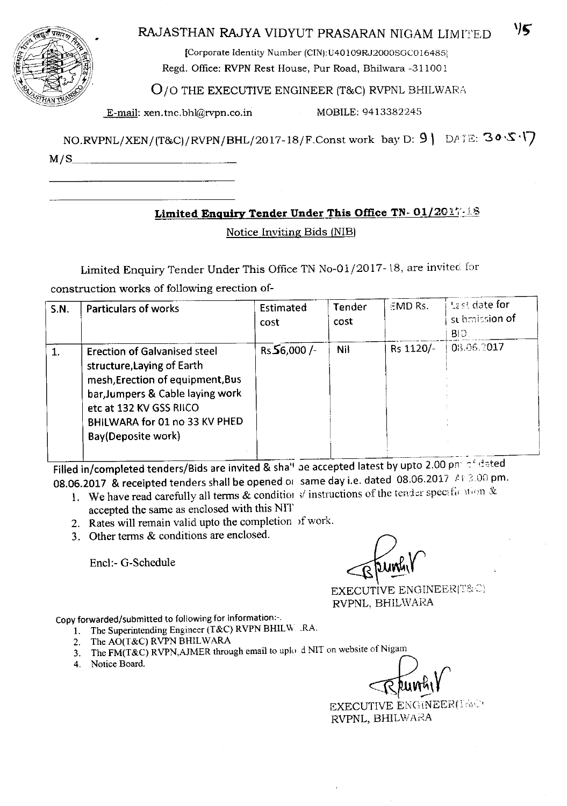| $\omega_{\rm r}$<br>co.<br>ks.  | R |
|---------------------------------|---|
| तनम्क<br><b>LEZ SS</b><br>TRANS |   |
|                                 |   |

# AJASTHAN RAJYA VIDYUT PRASARAN NIGAM LIMITED **\*\*\***

[Corporate Identity Number (CIN):U40109RJ2000SGC016485] Regd. Office: RVPN Rest House, Pur Road, Bhilwara ~31100 1

### 0/0 THE EXECUTIVE ENGINEER (T&C)RVPNL BHILWARA

E-mail: xen.tnc.bhl@rvpn.co.in MOBILE: 9413382245

 $NO.RVPNL/XEN/(T&C)/RVPN/BHL/2017-18/F. Const work$  bay  $D: 9 \rightarrow DATE: 30 \cdot S \cdot V$  $M/S$ 

## **Limited Enquiry Tender Under This Office** TN-Ol/201~·:\_18

### Notice Inviting Bids (NIB)

Limited Enquiry Tender Under This Office TN No-01/2017-18, are invited for construction works of following erection of-

| <b>S.N.</b> | <b>Particulars of works</b>                                                                                                                                                                                                 | Estimated<br>cost | Tender<br>cost | EMD Rs.   | $\pm$ as date for<br>submitsion of<br>$\mathsf{B} \mathsf{D}$ |
|-------------|-----------------------------------------------------------------------------------------------------------------------------------------------------------------------------------------------------------------------------|-------------------|----------------|-----------|---------------------------------------------------------------|
| $\mathbf 1$ | <b>Erection of Galvanised steel</b><br>structure, Laying of Earth<br>mesh, Erection of equipment, Bus<br>bar, Jumpers & Cable laying work<br>etc at 132 KV GSS RIICO<br>BHILWARA for 01 no 33 KV PHED<br>Bay(Deposite work) | $Rs$ 56,000 /-    | Nil            | Rs 1120/- | 08.06.2017                                                    |

Filled in/completed tenders/Bids are invited & sha'' ae accepted latest by upto 2.00 pn  $\circ$  rated 08.06.2017 & receipted tenders shall be opened <sup>01</sup> same day i.e. dated 08.06.2017 *t \* ,:.00 pm.

- 1. We have read carefully all terms & conditions of the tendor specific stron  $\&$ accepted the same as enclosed with this NIT
- 2. Rates will remain valid upto the completion of work.
- 3. Other terms & conditions are enclosed.

Other terms & conditions are enclosed.<br>Encl:- G-Schedule Encl:- G-Schedule

EXECUTIVE ENGINEER(T&C) RVPNL, BHILWARA

Copy forwarded/submitted to following for information :-.

- 1. The Superintending Engineer (T&C) RVPN BHILW RA.
- 2. The AO(T&C) RVPN BHILWARA
- 3. The FM(T&C) RVPN,AJMER through email to uplo d NIT on website of Nigam
- $\frac{1}{\sqrt{2}}$ . Notice Board.  $\frac{1}{\sqrt{2}}$

EXECUTIVE ENGINEER(T&C) RVPNL, BHILWARA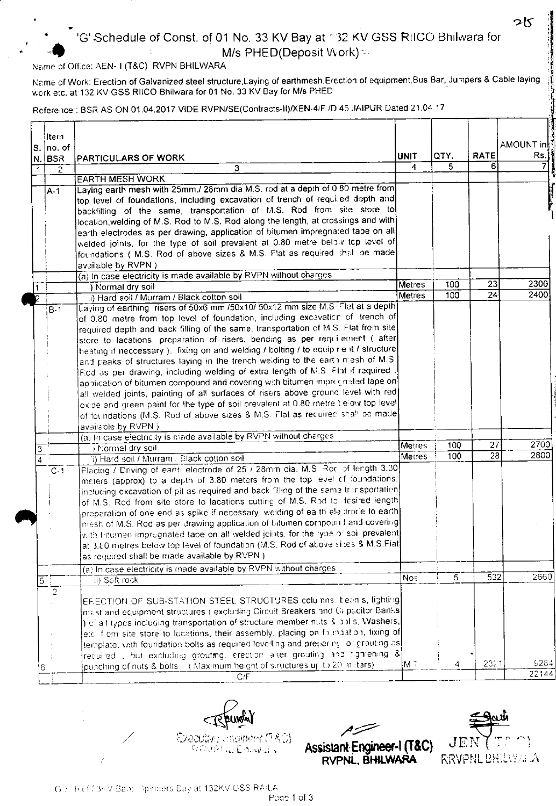# 'G' Schedule of Const. of 01 No. 33 KV Bay at " 32 KV GSS R!ICO Bhilwara for M/s PHED(Deposit Work) =

#### Name of Office: AEN- I (T&C) RVPN BHILWARA

•

•

Name of Work: Erection of Galvanized steel structure,Laying of earthmesh.Erection of equipment.Bus Bar, Jumpers & Cable laying work etc, at 132 KV GSS RIICO Bhilwara for 01 No. 33 KV Bay for Mis PHED

Reference : BSR AS ON 01.04.2017 VIDE RVPN/SE(Contracts-II)/XEN-4/F./D.45 JAIPUR Dated 21.04.17

|                | ltern.         |                                                                                                                                                                     |               |                  |                   |           |
|----------------|----------------|---------------------------------------------------------------------------------------------------------------------------------------------------------------------|---------------|------------------|-------------------|-----------|
|                | $ S. $ no. of  |                                                                                                                                                                     |               |                  |                   | AMOUNT in |
|                | N. BSR         | <b>PARTICULARS OF WORK</b>                                                                                                                                          | <b>UNIT</b>   | QTY.<br>5        | <b>RATE</b><br>6. | Rs.       |
| 1              | 2              | 3                                                                                                                                                                   | 4             |                  |                   |           |
|                |                | <b>EARTH MESH WORK</b><br>Laying earth mesh with 25mm./ 28mm dia M.S. rod at a depth of 0.80 metre from                                                             |               |                  |                   |           |
|                | A-1            | top level of foundations, including excavation of trench of requiled depth and                                                                                      |               |                  |                   |           |
|                |                | backfilling of the same, transportation of M.S. Rod from site store to                                                                                              |               |                  |                   |           |
|                |                | location, welding of M.S. Rod to M.S. Rod along the length, at crossings and with                                                                                   |               |                  |                   |           |
|                |                | earth electrodes as per drawing, application of bitumen impregnated tape on all                                                                                     |               |                  |                   |           |
|                |                | welded joints, for the type of soil prevalent at 0.80 metre below top level of                                                                                      |               |                  |                   |           |
|                |                | foundations (M.S. Rod of above sizes & M.S. Flat as required shall be made                                                                                          |               |                  |                   |           |
|                |                | available by RVPN)                                                                                                                                                  |               |                  |                   |           |
|                |                | (a) In case electricity is made available by RVPN without charges                                                                                                   |               |                  |                   |           |
|                |                | i) Normal dry soil                                                                                                                                                  | Metres        | 100              | 23                | 2300      |
|                |                | ii) Hard soil / Murram / Black cotton soil                                                                                                                          | <b>Metres</b> | 100 <sub>1</sub> | 24                | 2400      |
|                | $B-1$          | Laying of earthing risers of 50x6 mm /50x10/ 50x12 mm size M.S. Flat at a depth                                                                                     |               |                  |                   |           |
|                |                | of 0.80 metre from top level of foundation, including excavation of trench of                                                                                       |               |                  |                   |           |
|                |                | required depth and back filling of the same, transportation of M.S. Flat from site                                                                                  |               |                  |                   |           |
|                |                | store to lacations, preparation of risers, bending as per requilement (lafter                                                                                       |               |                  |                   |           |
|                |                | heating if neccessary). fixing on and welding / bolting / to equip test / structure                                                                                 |               |                  |                   |           |
|                |                | and peaks of structures laying in the trench weiding to the earth mesh of M.S.                                                                                      |               |                  |                   |           |
|                |                | Red as per drawing, including welding of extra length of M.S. Flat if required.                                                                                     |               |                  |                   |           |
|                |                | application of bitumen compound and covering with bitumen impregnated tape on                                                                                       |               |                  |                   |           |
|                |                | all welded joints, painting of all surfaces of risers above ground level with red                                                                                   |               |                  |                   |           |
|                |                | oxide and green paint for the type of soil prevalent at 0.80 metre tiefow top level                                                                                 |               |                  |                   |           |
|                |                | of foundations (M.S. Rod of above sizes & M.S. Flat as required shall be made                                                                                       |               |                  |                   |           |
|                |                | available by RVPN )                                                                                                                                                 |               |                  |                   |           |
|                |                | (a) In case electricity is made available by RVPN without charges                                                                                                   |               | 100 <sub>1</sub> | $\overline{27}$   | 2700      |
| 3              |                | ) Normal dry soil                                                                                                                                                   | Metres        | 100 <sup>°</sup> | 28                | 2800      |
| $\overline{4}$ |                | 1) Hard soil / Murram / Black cotton soil                                                                                                                           | Metres        |                  |                   |           |
|                | $C-1$          | Placing / Driving of earth electrode of 25 / 28mm dia. M.S. Roc. of length 3.30                                                                                     |               |                  |                   |           |
|                |                | meters (approx) to a depth of 3.80 meters from the top level of foundations,                                                                                        |               |                  |                   |           |
|                |                | including excavation of pit as required and back filling of the same transportation]                                                                                |               |                  |                   |           |
|                |                | of M.S. Rod from site store to lacations cutting of M.S. Rod to lesired length                                                                                      |               |                  |                   |           |
|                |                | preparation of one end as spike if necessary, weiding of ea th electrocle to earth                                                                                  |               |                  |                   |           |
|                |                | miesh of M.S. Rod as per drawing application of bitumen compound and covering<br>with Intumen impregnated tape on all welded joints, for the lype of soil prevalent |               |                  |                   |           |
|                |                | at 3.80 metres below top level of foundation (M.S. Rod of above sites & M.S.Fiat                                                                                    |               |                  |                   |           |
|                |                | as required shall be made available by RVPN)                                                                                                                        |               |                  |                   |           |
|                |                |                                                                                                                                                                     |               |                  |                   |           |
|                |                | (a) In case electricity is made available by RVPN without charges                                                                                                   | Nos.          | 5                | $\overline{5}32$  | 2660      |
| $\overline{5}$ |                | ii) Soft rock                                                                                                                                                       |               |                  |                   |           |
|                | $\overline{2}$ | ERECTION OF SUB-STATION STEEL STRUCTURES columns, beams, lighting                                                                                                   |               |                  |                   |           |
|                |                | $ \mathsf{m}\mathsf{e}\mathsf{s} $ and equipment structures (lexcluding Circuit Breakers and Capacitor Banks                                                        |               |                  |                   |           |
|                |                | ) of all types including transportation of structure member nuts S bolls, Washers,                                                                                  |               |                  |                   |           |
|                |                | etc. fiem site store to locations, their assembly, placing on foundation, fixing of                                                                                 |               |                  |                   |           |
|                |                | template, vith foundation bolts as required levelling and preparing to grouting as                                                                                  |               |                  |                   |           |
|                |                | required , but excluding grouting, erection arter grouting and tighrening &                                                                                         |               |                  |                   |           |
|                |                | punching of nuts & bolts (Maximum height of structures up to 20 milters)                                                                                            | ¦M ⊺          | 4                | 2311              | 9284      |
|                | 6              | C/F                                                                                                                                                                 |               |                  |                   | 22144     |
|                |                |                                                                                                                                                                     |               |                  |                   |           |

l'orient la Eduware

/~ Assistant-Engineer-l (T&C) RVPNL. BHlLWARA  $P_{\text{F}}$   $P_{\text{F}}$   $P_{\text{F}}$   $P_{\text{F}}$   $P_{\text{F}}$   $P_{\text{F}}$   $P_{\text{F}}$   $P_{\text{F}}$   $P_{\text{F}}$   $P_{\text{F}}$   $P_{\text{F}}$   $P_{\text{F}}$   $P_{\text{F}}$   $P_{\text{F}}$   $P_{\text{F}}$   $P_{\text{F}}$   $P_{\text{F}}$   $P_{\text{F}}$   $P_{\text{F}}$   $P_{\text{F}}$   $P_{\text{F}}$   $P_{\text{F}}$ 



っと

*C;:-* i' <sup>l</sup> f: J;..; *'J* 'Ja,~,: :p :;; ,-'r'\_; E::d;' at 132KV CSS R!: Lt·.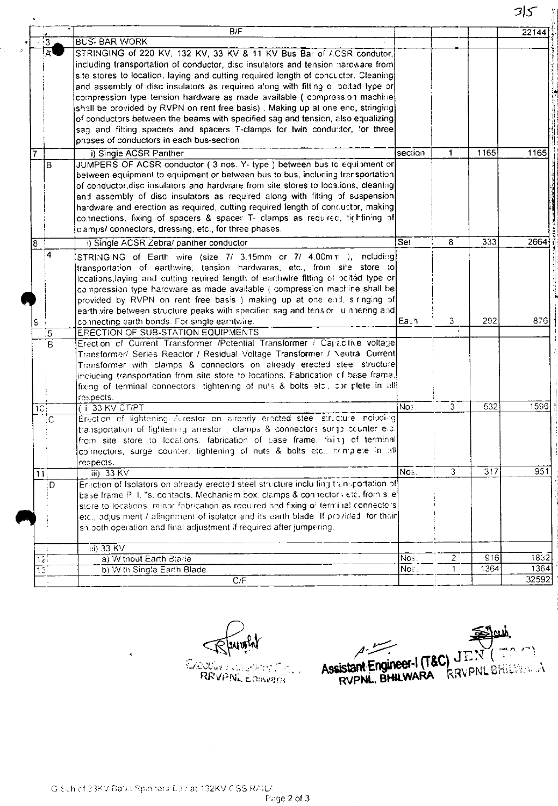|                   |                                                                                                                                                                       |         |   |      | ر ر   |
|-------------------|-----------------------------------------------------------------------------------------------------------------------------------------------------------------------|---------|---|------|-------|
|                   | B/F                                                                                                                                                                   |         |   |      | 22144 |
| $\overline{3}$    | <b>BUS-BAR WORK</b>                                                                                                                                                   |         |   |      |       |
|                   | STRINGING of 220 KV, 132 KV, 33 KV & 11 KV Bus Bar of ACSR condutor,                                                                                                  |         |   |      |       |
|                   | including transportation of conductor, disc insulators and tension naroware from                                                                                      |         |   |      |       |
|                   | site stores to location, laying and cutting required length of concuctor. Cleaning                                                                                    |         |   |      |       |
|                   | and assembly of disc insulators as required along with fitting of bolted type or                                                                                      |         |   |      |       |
|                   | compression type tension hardware as made available ( compression machine                                                                                             |         |   |      |       |
|                   | shall be provided by RVPN on rent free basis). Making up at one end, stringing                                                                                        |         |   |      |       |
|                   | of conductors between the beams with specified sag and tension, also equalizing                                                                                       |         |   |      |       |
|                   | sag and fitting spacers and spacers T-clamps for twin conductor, for three                                                                                            |         |   |      |       |
|                   | phases of conductors in each bus-section.                                                                                                                             |         |   |      |       |
| 17                | i) Single ACSR Panther                                                                                                                                                | section | 1 | 1165 | 1165  |
| B                 | JUMPERS OF ACSR conductor (3 nos. Y- type) between bus to equipment or                                                                                                |         |   |      |       |
|                   | between equipment to equipment or between bus to bus, including trar sportation                                                                                       |         |   |      |       |
|                   | of conductor disc insulators and hardware from site stores to localions, cleaning                                                                                     |         |   |      |       |
|                   | and assembly of disc insulators as required along with fitting of suspension                                                                                          |         |   |      |       |
|                   | hardware and erection as required, cutting required length of concuctor, making                                                                                       |         |   |      |       |
|                   | connections, fixing of spacers & spacer T- clamps as required, lightining of                                                                                          |         |   |      |       |
|                   | clamps/ connectors, dressing, etc., for three phases.                                                                                                                 |         |   |      |       |
| $\overline{8}$    | () Single ACSR Zebra/ panther conductor                                                                                                                               | Set     | 8 | 333  | 2664  |
| 4                 | STRINGING of Earth wire (size 7/ 3.15mm or 7/ 4.00mm), including                                                                                                      |         |   |      |       |
|                   | transportation of earthwire, tension hardwares, etc., from site store to                                                                                              |         |   |      |       |
|                   | locations, laying and cutting reulred length of earthwire fitting of polited type or                                                                                  |         |   |      |       |
|                   | compression type hardware as made available (compression machine shall be                                                                                             |         |   |      |       |
|                   | provided by RVPN on rent free basis) making up at one end, singing of                                                                                                 |         |   |      |       |
|                   | earth vire between structure peaks with specified sag and tension lumbering and                                                                                       |         |   |      |       |
| I9                | connecting earth bonds. For single earntwire.                                                                                                                         | lEach.  | 3 | 292  | 876   |
| $\overline{5}$    | ERECTION OF SUB-STATION EQUIPMENTS                                                                                                                                    |         |   |      |       |
| $\overline{B}$    | Erection of Current Transformer /Potential Transformer / Capacitive voltage                                                                                           |         |   |      |       |
|                   | Transformer/ Series Reactor / Residual Voltage Transformer / Neutral Current                                                                                          |         |   |      |       |
|                   | Transformer with clamps & connectors on already erected steel structure                                                                                               |         |   |      |       |
|                   | inclucing transportation from site store to locations. Fabrication of base frame,<br>fixing of terminal connectors, tightening of nuts & bolts etc., cor plete in all |         |   |      |       |
|                   | respects.                                                                                                                                                             |         |   |      |       |
| 7C <sub>i</sub>   | (iii 33 KV CT/PT                                                                                                                                                      | Nos.    | 3 | 532  | 1596  |
| C.                | Erection of lightening Arrestor on already erected stee structure including                                                                                           |         |   |      |       |
|                   | transportation of lightening arrestor , clamps & connectors surge counter e.c.                                                                                        |         |   |      |       |
|                   | from site store to locations, fabrication of base frame, fixing of terminal                                                                                           |         |   |      |       |
|                   | connectors, surge counter, tightening of nuts & bolts etc., complete in all                                                                                           |         |   |      |       |
|                   | respects.                                                                                                                                                             |         |   |      |       |
| $\overline{11}$   | iii) 33 KV                                                                                                                                                            | Nos.    | 3 | 317  | 951   |
| Ð                 | Enection of Isolators on already erected steel structure incluiting transportation of                                                                                 |         |   |      |       |
|                   | base frame P. I. "s. contacts. Mechanism box, clamps & connectors etc. from sile                                                                                      |         |   |      |       |
|                   | store to locations, minor fabrication as required and fixing of term inal connectors                                                                                  |         |   |      |       |
|                   | etc., adjusiment / alingnment of isolator and its earth blade. If provided, for their                                                                                 |         |   |      |       |
|                   | sh both operation and final adjustment if required after jumpering.                                                                                                   |         |   |      |       |
|                   | $\overline{33}$ KV                                                                                                                                                    |         |   |      |       |
| $\overline{12}$   | a) W tnout Earth Blade                                                                                                                                                | Nos.    | 2 | 916  | 1832  |
| $\overline{13}$ . | b) W th Single Earth Blade                                                                                                                                            | Nos.    | 1 | 1364 | 1364  |
|                   | C/F                                                                                                                                                                   |         |   |      | 32592 |

**Crootlin** Editional Cross

 $\sim 10^{-1}$ 

Assistant Engineer-I (T&C) JEN (TO C)

 $35$ 

 $\blacktriangleleft$ 

 $\frac{1}{2}$  and  $\frac{1}{2}$ 

 $\sim 10^{11}$  km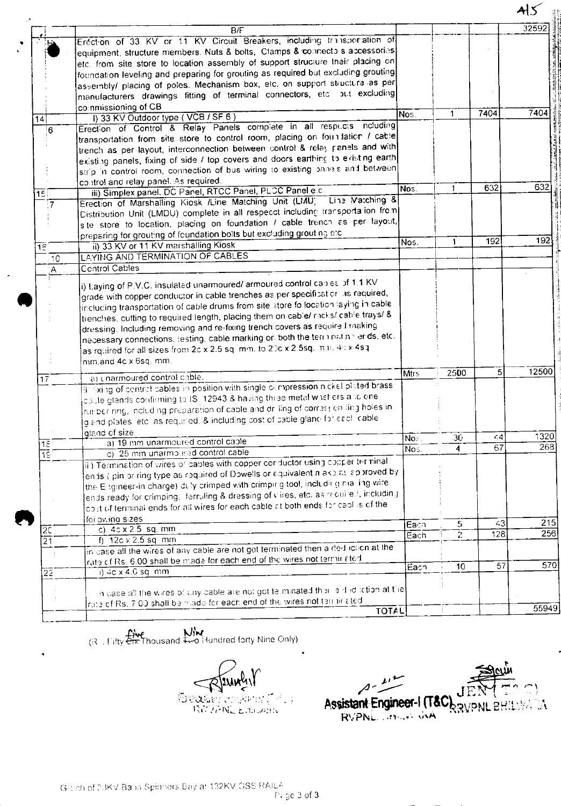|                                                                  |                                                                                                                                                                                                                                                                                                                                                                                                                                                                                                                                                   |              |                         |                | Als              |
|------------------------------------------------------------------|---------------------------------------------------------------------------------------------------------------------------------------------------------------------------------------------------------------------------------------------------------------------------------------------------------------------------------------------------------------------------------------------------------------------------------------------------------------------------------------------------------------------------------------------------|--------------|-------------------------|----------------|------------------|
|                                                                  | B/F                                                                                                                                                                                                                                                                                                                                                                                                                                                                                                                                               |              |                         |                | 32592            |
|                                                                  | Erection of 33 KV or 11 KV Circuit Breakers, including transportation of<br>equipment, structure members. Nuts & bolts, Clamps & connecto s accessories<br>etc. from site store to location assembly of support structure their placing on                                                                                                                                                                                                                                                                                                        |              |                         |                |                  |
|                                                                  | foundation leveling and preparing for grouting as required but excluding grouting<br>assembly/ placing of poles. Mechanism box, etc. on support structure as per<br>manufacturers drawings fitting of terminal connectors, etc. but excluding                                                                                                                                                                                                                                                                                                     |              |                         |                |                  |
| $\vert$ 14 $\vert$                                               | commissioning of CB<br>I) 33 KV Outdoor type (VCB / SF 6)                                                                                                                                                                                                                                                                                                                                                                                                                                                                                         | Nos.         | $\mathbf 1$             | 7404           | 7404             |
| !6                                                               | Erection of Control & Relay Panels complete in all respects notuding<br>transportation from site store to control room, placing on foundation / cable<br>trench as per layout, interconnection between control & relay panels and with<br>existing panels, fixing of side / top covers and doors earthing to existing earth<br>strip in control room, connection of bus wiring to existing panels and between                                                                                                                                     |              |                         |                |                  |
| 15∏                                                              | control and relay panel. As required.<br>iii) Simplex panel. DC Panel, RTCC Panel, PLCC Panel e.c.                                                                                                                                                                                                                                                                                                                                                                                                                                                | Nos.         | $\mathbf{1}$            | 632            | $\overline{6}32$ |
| $\overline{7}$                                                   | Line Matching &<br>Erection of Marshalling Kiosk /Line Matching Unit (LMU)<br>[Distribution Unit (LMDU) complete in all respecct including transportation from<br>site store to location, placing on foundation / cable trench as per layout,<br>preparing for grouting of foundation bolts but excluding grouting etc.                                                                                                                                                                                                                           |              |                         |                |                  |
| 16 <sup>1</sup>                                                  | ii) 33 KV or 11 KV marshalling Kiosk                                                                                                                                                                                                                                                                                                                                                                                                                                                                                                              | Nos.         | $\mathbf{1}$            | 192            | 192              |
| $\overline{10}$                                                  | LAYING AND TERMINATION OF CABLES                                                                                                                                                                                                                                                                                                                                                                                                                                                                                                                  |              |                         |                |                  |
| $\overline{A}$                                                   | Control Cables                                                                                                                                                                                                                                                                                                                                                                                                                                                                                                                                    |              |                         |                |                  |
|                                                                  | grade with copper conductor in cable trenches as per specification as required,<br>$ {\rm inclucing}$ transportation of cable drums from site store fo location laying in cable<br>trenches, cutting to required length, placing them on cable/ racks/ cable trays/ &<br>dressing. Including removing and re-fixing trench covers as required making<br>necessary connections, testing, cable marking on both the term natine ends, etc.<br>as rquired for all sizes from 2c x 2.5 sq. mm, to 20c x 2.5sq. m.n. 4c x 4sq.<br>mm.and 4c x 6sq. mm. |              |                         |                |                  |
| $\overline{17}$                                                  | a) unarmoured control cable.                                                                                                                                                                                                                                                                                                                                                                                                                                                                                                                      | <b>Mtrs</b>  | 2500                    | $\overline{5}$ | 12500            |
|                                                                  | il liking of centref cables in position with single ournpression nickel plated brass<br>caule glands confirming to IS, 12943 & having three metal washers alto one.<br>rul ber ring, including preparation of cable and drilling of correst on fing holes in<br>giand plates, etc. as required, & including cost of cable gland for each cable                                                                                                                                                                                                    |              |                         |                |                  |
|                                                                  | gland of size<br>a) 19 mm unarmotired control cable                                                                                                                                                                                                                                                                                                                                                                                                                                                                                               | Nos.         | 30                      | (4)            | 1320             |
| $\overline{1}\overline{2}$<br>$\overline{1}\overline{\hat{S}}$ : | c) 25 mm unarmoured control cable                                                                                                                                                                                                                                                                                                                                                                                                                                                                                                                 | Nos.         | $\overline{\mathbf{4}}$ | 67             | 268              |
|                                                                  | ii) Termination of wires of cables with copper conductor using copper terminal<br>ends (ipin or ring type as required of Dowells or equivalent niake as approved by<br>the Engineer-in charge) duly crimped with crimping tool, including nial ingiwire<br>ends ready for crimping, iferruling & dressing of viires, etc. as required, including<br>cost of terminal ends for all wires for each cable at both ends for cables of the<br>foi owing sizes                                                                                          |              |                         |                | 215              |
| $\overline{2}\overline{C}$                                       | c) $4c \times 2.5$ sq. mm                                                                                                                                                                                                                                                                                                                                                                                                                                                                                                                         | Eacn<br>Each | 5<br>$\overline{2}$     | 43<br>128      | 256              |
| $\overline{21}$                                                  | f) $12c \times 2.5$ sq mm<br>in case all the wires of any cable are not got terminated then a ded iction at the<br>rate of Rs. 6.00 shall be made for each end of the wires not terminated                                                                                                                                                                                                                                                                                                                                                        |              |                         |                |                  |
|                                                                  | $1)$ 4c x 4.0 sq. mm                                                                                                                                                                                                                                                                                                                                                                                                                                                                                                                              | Each         | 10 <sub>10</sub>        | 57             | 570              |
| $\overline{22}$                                                  | in case all the wires of any cable are not got telminated their aid id iction at the<br>rate of Rs. 7.00 shall be made for each end of the wires not termicated                                                                                                                                                                                                                                                                                                                                                                                   |              |                         |                |                  |
|                                                                  | <b>TOTAL</b>                                                                                                                                                                                                                                                                                                                                                                                                                                                                                                                                      |              |                         |                | 55949            |

(i.e., Fifty Etx Thousand Heo Hundred forty Nine Only)

٠

June **OROLL** COORPOL T

JИ Assistant Engineer-I (T&C)  $\mathbb{R}^2$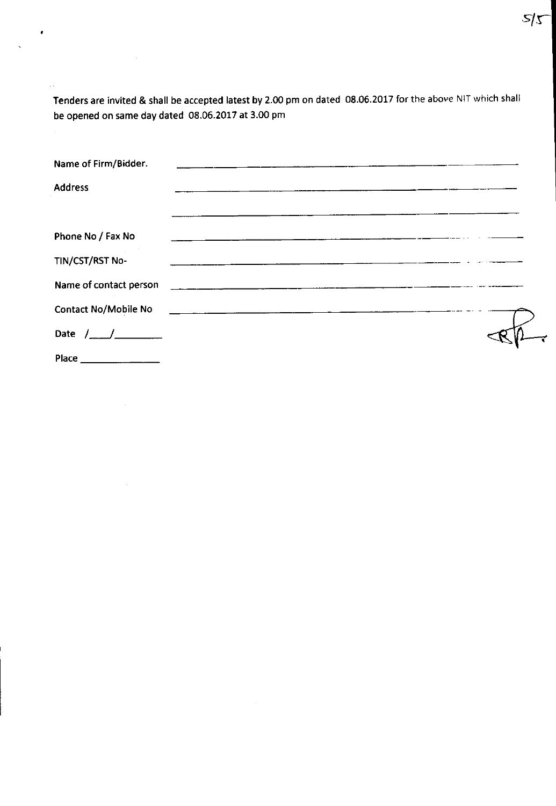Tenders are invited & shall be accepted latest by 2.00 pm on dated 08.06.2017 for the above NIT which shall be opened on same day dated 08.06.2017 at 3.00 pm

 $\bullet$ 

ù,

 $\mathcal{L}^{\text{max}}_{\text{max}}$  and  $\mathcal{L}^{\text{max}}_{\text{max}}$ 

 $\sim$ 

| Name of Firm/Bidder.                                                                                           |                                                                                                                      |                                                                                                                       |  |  |
|----------------------------------------------------------------------------------------------------------------|----------------------------------------------------------------------------------------------------------------------|-----------------------------------------------------------------------------------------------------------------------|--|--|
| <b>Address</b>                                                                                                 |                                                                                                                      | <u> 1980 - Jan Sterlin Sterlin Sterlin Sterlin Sterlin Sterlin Sterlin Sterlin Sterlin Sterlin Sterlin Sterlin St</u> |  |  |
|                                                                                                                |                                                                                                                      |                                                                                                                       |  |  |
| Phone No / Fax No                                                                                              | <u> 1980 - Jan James James Barnett, amerikan beste beste beste beste beste beste beste beste beste beste beste b</u> |                                                                                                                       |  |  |
| TIN/CST/RST No-                                                                                                |                                                                                                                      |                                                                                                                       |  |  |
| Name of contact person and the contract of the contract of the contract of the contract of the contract of the |                                                                                                                      |                                                                                                                       |  |  |
| Contact No/Mobile No 2008 2009 2009 2009 2009 2009 2010 2020 2030 2040 2050 2061 2070 2081 2092 2009 2010 2010 |                                                                                                                      |                                                                                                                       |  |  |
|                                                                                                                |                                                                                                                      |                                                                                                                       |  |  |
| Place                                                                                                          |                                                                                                                      |                                                                                                                       |  |  |

 $\vec{r}$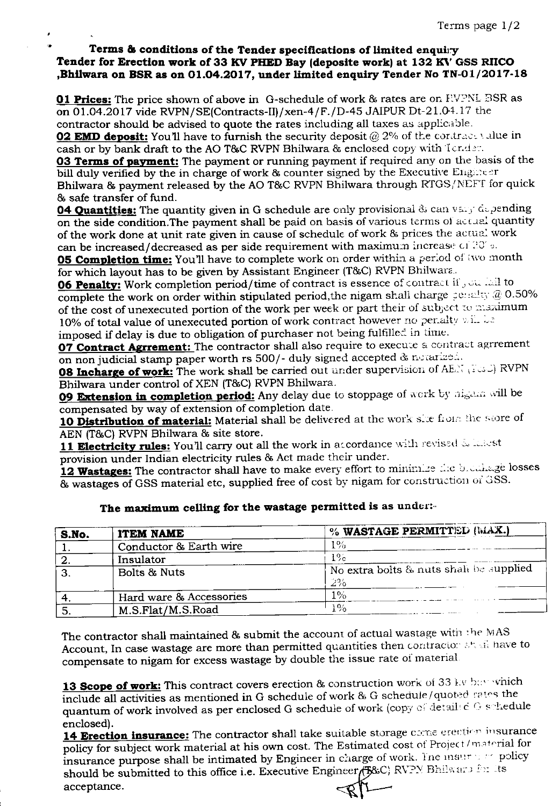#### **Terms & conditions of the Tender specifications of limited** enquiry **Tender for Erection work of 33 KVPHEDBay (deposite work) at 132 KVGSSRlICO ,Bhllwara on BSR as on 01.04.2017, under limited enquiry Tender NoTN-Ol/2017-18**

**01 Prices:** The price shown of above in G-schedule of work & rates are on FVPNL BSR as on 01.04.2017 vide RVPN/SE(Contracts-II}/xen-4/F./D-45 JAIPUR Dt-21.04.17 the contractor should be advised to quote the rates including all taxes as applicable. **02 EMD deposit:** You'll have to furnish the security deposit @ 2% of the contract value in cash or by bank draft to the AO T&C RVPN Bhilwara & enclosed copy with  $\text{Iend}$ :

**03 Terms of payment:** The payment or running payment if required any on the basis of the bill duly verified by the in charge of work & counter signed by the Executive Engineer Bhilwara & payment released by the AO T&C RVPN Bhilwara through RTGS/NEFT for quick & safe transfer of fund,

**04 Quantities:** The quantity given in G schedule are only provisional & can vary depending on the side condition.The payment shall be paid on basis of various terms of actual quantity of the work done at unit rate given in cause of schedule of work & prices the acrua. work can be increased/decreased as per side requirement with maximum increase of  $20^{\circ}$ .

**05 Completion time:** You'll have to complete work on order within a period of two month for which layout has to be given by Assistant Engineer (T&C) RVPN Bhilwara.

**06 Penalty:** Work completion period/time of contract is essence of contract if  $\sqrt{c}$ . Lal to complete the work on order within stipulated period, the nigam shall charge periodly: @ 0.50% of the cost of unexecuted portion of the work per week or part their of subject to maximum 10% of total value of unexecuted portion of work contract however no pertaity will be imposed if delay is due to obligation of purchaser not being fulfilled in time,

**07 Contract Agrrement:** The contractor shall also require to execute a contract agrrement on non judicial stamp paper worth rs  $500/$ - duly signed accepted & notarized.

**08 Incharge** of work: The work shall be carried out under supervision of /,E.\_': \~,~\_;) RVPN Bhilwara under control of XEN (T&C) RVPN Bhilwara.

**09 Extension in completion period:** Any delay due to stoppage of work by nigam will be compensated by way of extension of completion date,

10 **Distribution of material:** Material shall be delivered at the work site from the store of AEN (T&C) RVPN Bhilwara & site store.

**11 Electricity rules:** You'll carry out all the work in accordance with revised is latest provision under Indian electricity rules & Act madc their under.

12 Wastages: The contractor shall have to make every effort to minimize the blocklege losses & wastages of GSS material etc, supplied free of cost by nigam for construction of GSS.

| S.No. | <b>ITEM NAME</b>        | % WASTAGE PERMITTED (MAX.)                 |
|-------|-------------------------|--------------------------------------------|
|       | Conductor & Earth wire  | $1\%$                                      |
|       | Insulator               | $1\%$                                      |
| ຳ     | Bolts & Nuts            | No extra bolts $\&$ nuts shall be supplied |
|       |                         | $2\%$                                      |
|       | Hard ware & Accessories | $1\%$                                      |
|       | M.S.Flat/M.S.Road       | $1\%$                                      |

# **The maximum celling for the wastage permitted is as** underr-

The contractor shall maintained & submit the account of actual wastage with the MAS Account, In case wastage are more than permitted quantities then contractor and have to compensate to nigam for excess wastage by double the issue rate of material

13 **Scope of work:** This contract covers erection & construction work of 33 Ly best which include all activities as mentioned in G schedule of work & G schedule/quoted rates the quantum of work involved as per enclosed G schedule of work (copy of details d G schedule enclosed).

14 **Erection insurance:** The contractor shall take suitable storage come erection insurance policy for subject work material at his own cost. The Estimated cost of Project/material for insurance purpose shall be intimated by Engineer in charge of work. The insured medicy should be submitted to this office i.e. Executive Engineer (<del>1380)</del> RV?Y Bhilwary for the acceptance.